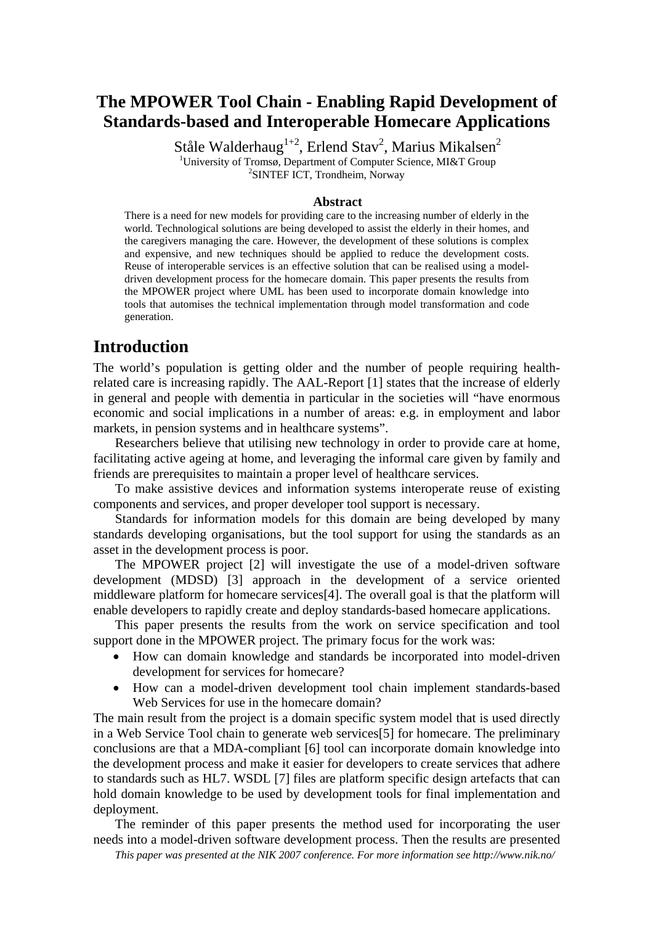# **The MPOWER Tool Chain - Enabling Rapid Development of Standards-based and Interoperable Homecare Applications**

Ståle Walderhaug $^{1+2}$ , Erlend Stav<sup>2</sup>, Marius Mikalsen<sup>2</sup> <sup>1</sup>University of Tromsø, Department of Computer Science, MI&T Group SINTEF ICT, Trondheim, Norway

#### **Abstract**

There is a need for new models for providing care to the increasing number of elderly in the world. Technological solutions are being developed to assist the elderly in their homes, and the caregivers managing the care. However, the development of these solutions is complex and expensive, and new techniques should be applied to reduce the development costs. Reuse of interoperable services is an effective solution that can be realised using a modeldriven development process for the homecare domain. This paper presents the results from the MPOWER project where UML has been used to incorporate domain knowledge into tools that automises the technical implementation through model transformation and code generation.

## **Introduction**

The world's population is getting older and the number of people requiring healthrelated care is increasing rapidly. The AAL-Report [1] states that the increase of elderly in general and people with dementia in particular in the societies will "have enormous economic and social implications in a number of areas: e.g. in employment and labor markets, in pension systems and in healthcare systems".

Researchers believe that utilising new technology in order to provide care at home, facilitating active ageing at home, and leveraging the informal care given by family and friends are prerequisites to maintain a proper level of healthcare services.

To make assistive devices and information systems interoperate reuse of existing components and services, and proper developer tool support is necessary.

Standards for information models for this domain are being developed by many standards developing organisations, but the tool support for using the standards as an asset in the development process is poor.

The MPOWER project [2] will investigate the use of a model-driven software development (MDSD) [3] approach in the development of a service oriented middleware platform for homecare services[4]. The overall goal is that the platform will enable developers to rapidly create and deploy standards-based homecare applications.

This paper presents the results from the work on service specification and tool support done in the MPOWER project. The primary focus for the work was:

- How can domain knowledge and standards be incorporated into model-driven development for services for homecare?
- How can a model-driven development tool chain implement standards-based Web Services for use in the homecare domain?

The main result from the project is a domain specific system model that is used directly in a Web Service Tool chain to generate web services[5] for homecare. The preliminary conclusions are that a MDA-compliant [6] tool can incorporate domain knowledge into the development process and make it easier for developers to create services that adhere to standards such as HL7. WSDL [7] files are platform specific design artefacts that can hold domain knowledge to be used by development tools for final implementation and deployment.

The reminder of this paper presents the method used for incorporating the user needs into a model-driven software development process. Then the results are presented

*This paper was presented at the NIK 2007 conference. For more information see http://www.nik.no/*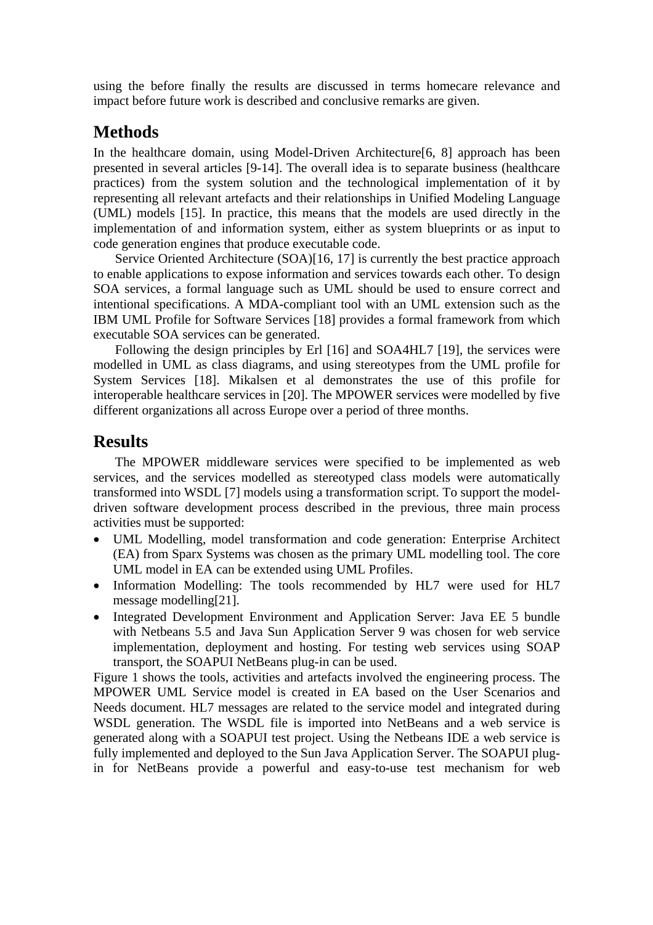using the before finally the results are discussed in terms homecare relevance and impact before future work is described and conclusive remarks are given.

## **Methods**

In the healthcare domain, using Model-Driven Architecture [6, 8] approach has been presented in several articles [9-14]. The overall idea is to separate business (healthcare practices) from the system solution and the technological implementation of it by representing all relevant artefacts and their relationships in Unified Modeling Language (UML) models [15]. In practice, this means that the models are used directly in the implementation of and information system, either as system blueprints or as input to code generation engines that produce executable code.

Service Oriented Architecture (SOA)[16, 17] is currently the best practice approach to enable applications to expose information and services towards each other. To design SOA services, a formal language such as UML should be used to ensure correct and intentional specifications. A MDA-compliant tool with an UML extension such as the IBM UML Profile for Software Services [18] provides a formal framework from which executable SOA services can be generated.

Following the design principles by Erl [16] and SOA4HL7 [19], the services were modelled in UML as class diagrams, and using stereotypes from the UML profile for System Services [18]. Mikalsen et al demonstrates the use of this profile for interoperable healthcare services in [20]. The MPOWER services were modelled by five different organizations all across Europe over a period of three months.

## **Results**

The MPOWER middleware services were specified to be implemented as web services, and the services modelled as stereotyped class models were automatically transformed into WSDL [7] models using a transformation script. To support the modeldriven software development process described in the previous, three main process activities must be supported:

- UML Modelling, model transformation and code generation: Enterprise Architect (EA) from Sparx Systems was chosen as the primary UML modelling tool. The core UML model in EA can be extended using UML Profiles.
- Information Modelling: The tools recommended by HL7 were used for HL7 message modelling[21].
- Integrated Development Environment and Application Server: Java EE 5 bundle with Netbeans 5.5 and Java Sun Application Server 9 was chosen for web service implementation, deployment and hosting. For testing web services using SOAP transport, the SOAPUI NetBeans plug-in can be used.

Figure 1 shows the tools, activities and artefacts involved the engineering process. The MPOWER UML Service model is created in EA based on the User Scenarios and Needs document. HL7 messages are related to the service model and integrated during WSDL generation. The WSDL file is imported into NetBeans and a web service is generated along with a SOAPUI test project. Using the Netbeans IDE a web service is fully implemented and deployed to the Sun Java Application Server. The SOAPUI plugin for NetBeans provide a powerful and easy-to-use test mechanism for web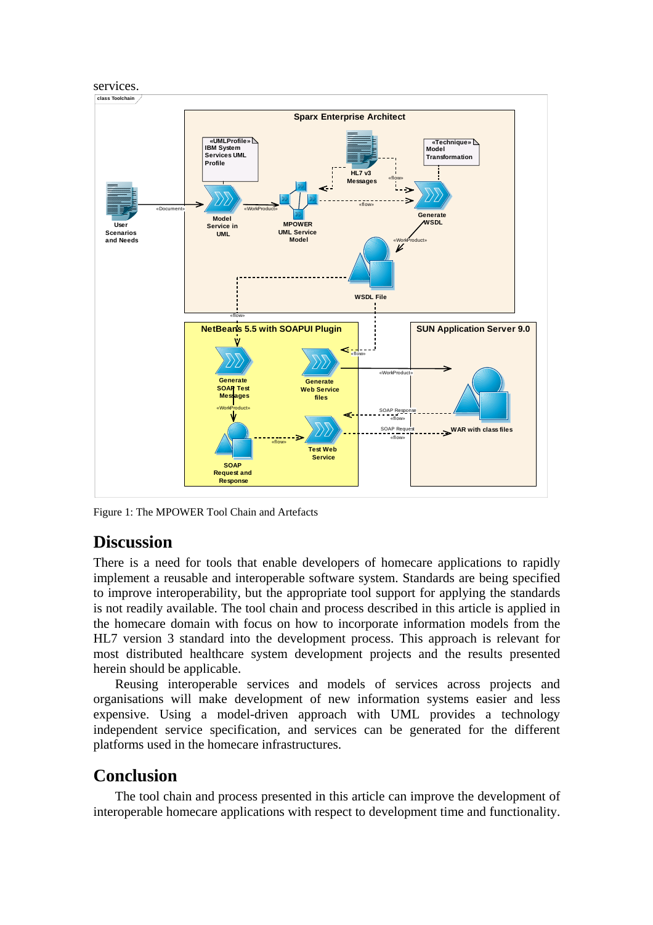

Figure 1: The MPOWER Tool Chain and Artefacts

# **Discussion**

There is a need for tools that enable developers of homecare applications to rapidly implement a reusable and interoperable software system. Standards are being specified to improve interoperability, but the appropriate tool support for applying the standards is not readily available. The tool chain and process described in this article is applied in the homecare domain with focus on how to incorporate information models from the HL7 version 3 standard into the development process. This approach is relevant for most distributed healthcare system development projects and the results presented herein should be applicable.

Reusing interoperable services and models of services across projects and organisations will make development of new information systems easier and less expensive. Using a model-driven approach with UML provides a technology independent service specification, and services can be generated for the different platforms used in the homecare infrastructures.

# **Conclusion**

The tool chain and process presented in this article can improve the development of interoperable homecare applications with respect to development time and functionality.